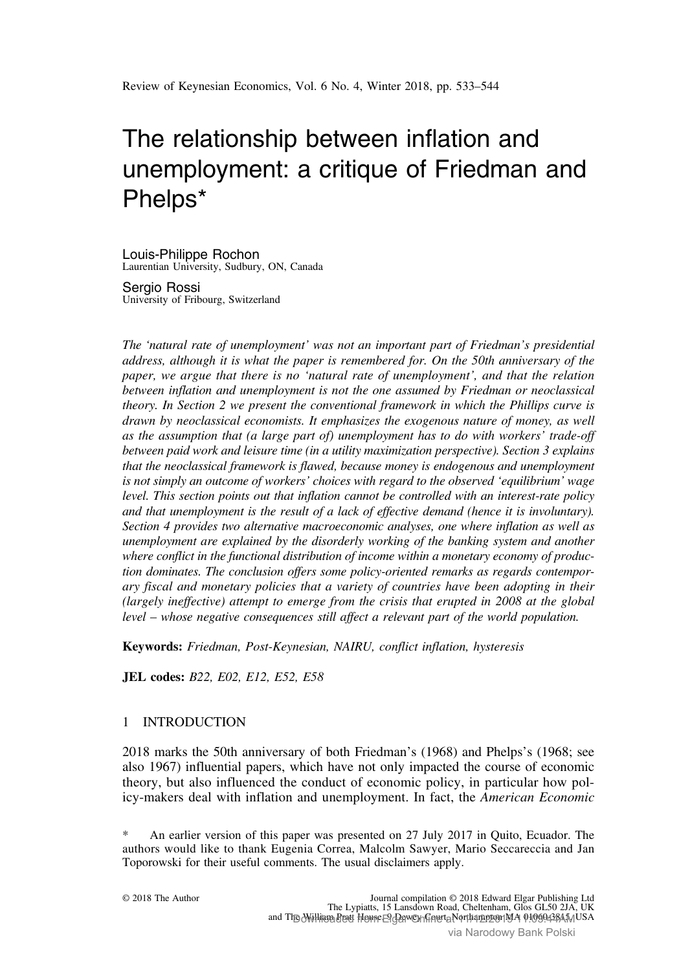# The relationship between inflation and unemployment: a critique of Friedman and Phelps\*

Louis-Philippe Rochon Laurentian University, Sudbury, ON, Canada

Sergio Rossi University of Fribourg, Switzerland

The 'natural rate of unemployment' was not an important part of Friedman's presidential address, although it is what the paper is remembered for. On the 50th anniversary of the paper, we argue that there is no 'natural rate of unemployment', and that the relation between inflation and unemployment is not the one assumed by Friedman or neoclassical theory. In [Section 2](#page-2-0) we present the conventional framework in which the Phillips curve is drawn by neoclassical economists. It emphasizes the exogenous nature of money, as well as the assumption that (a large part of) unemployment has to do with workers' trade-off between paid work and leisure time (in a utility maximization perspective). [Section 3](#page-4-0) explains that the neoclassical framework is flawed, because money is endogenous and unemployment is not simply an outcome of workers' choices with regard to the observed 'equilibrium' wage level. This section points out that inflation cannot be controlled with an interest-rate policy and that unemployment is the result of a lack of effective demand (hence it is involuntary). [Section 4](#page-5-0) provides two alternative macroeconomic analyses, one where inflation as well as unemployment are explained by the disorderly working of the banking system and another where conflict in the functional distribution of income within a monetary economy of production dominates. The conclusion offers some policy-oriented remarks as regards contemporary fiscal and monetary policies that a variety of countries have been adopting in their (largely ineffective) attempt to emerge from the crisis that erupted in 2008 at the global level – whose negative consequences still affect a relevant part of the world population.

Keywords: Friedman, Post-Keynesian, NAIRU, conflict inflation, hysteresis

JEL codes: B22, E02, E12, E52, E58

# 1 INTRODUCTION

2018 marks the 50th anniversary of both [Friedman](#page-10-0)'s (1968) and Phelps'[s \(1968;](#page-10-0) see also [1967](#page-10-0)) influential papers, which have not only impacted the course of economic theory, but also influenced the conduct of economic policy, in particular how policy-makers deal with inflation and unemployment. In fact, the [American Economic](#page-9-0)

An earlier version of this paper was presented on 27 July 2017 in Quito, Ecuador. The authors would like to thank Eugenia Correa, Malcolm Sawyer, Mario Seccareccia and Jan Toporowski for their useful comments. The usual disclaimers apply.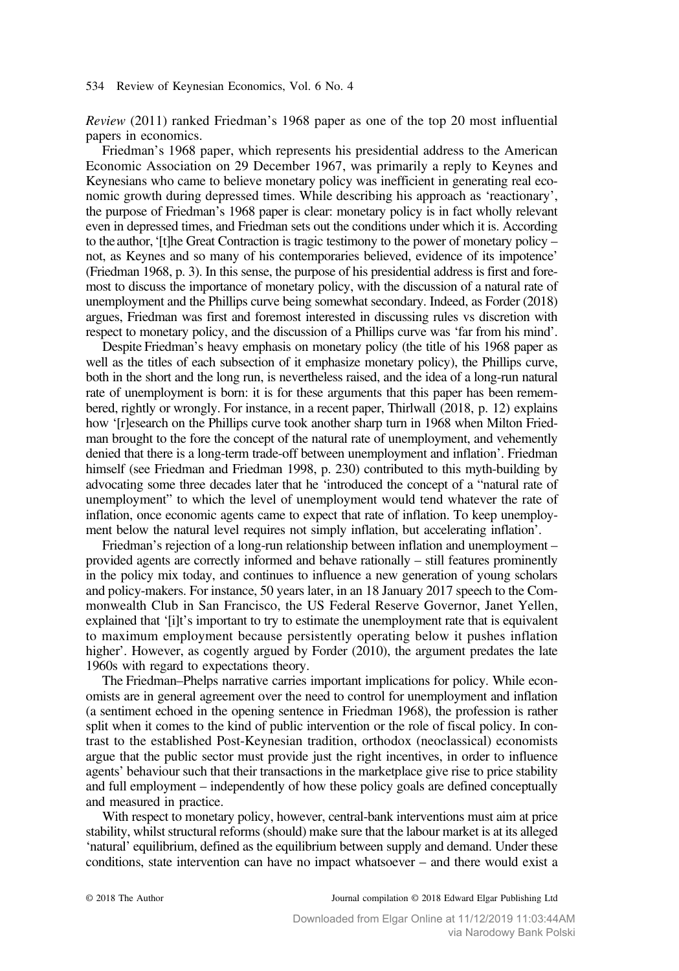[Review](#page-9-0) (2011) ranked Friedman's 1968 paper as one of the top 20 most influential papers in economics.

Friedman's 1968 paper, which represents his presidential address to the American Economic Association on 29 December 1967, was primarily a reply to Keynes and Keynesians who came to believe monetary policy was inefficient in generating real economic growth during depressed times. While describing his approach as 'reactionary', the purpose of Friedman's 1968 paper is clear: monetary policy is in fact wholly relevant even in depressed times, and Friedman sets out the conditions under which it is. According to the author,'[t]he Great Contraction is tragic testimony to the power of monetary policy – not, as Keynes and so many of his contemporaries believed, evidence of its impotence' [\(Friedman 1968,](#page-10-0) p. 3). In this sense, the purpose of his presidential address is first and foremost to discuss the importance of monetary policy, with the discussion of a natural rate of unemployment and the Phillips curve being somewhat secondary. Indeed, as [Forder \(2018\)](#page-10-0) argues, Friedman was first and foremost interested in discussing rules vs discretion with respect to monetary policy, and the discussion of a Phillips curve was 'far from his mind'.

Despite Friedman's heavy emphasis on monetary policy (the title of his 1968 paper as well as the titles of each subsection of it emphasize monetary policy), the Phillips curve, both in the short and the long run, is nevertheless raised, and the idea of a long-run natural rate of unemployment is born: it is for these arguments that this paper has been remembered, rightly or wrongly. For instance, in a recent paper, [Thirlwall \(2018](#page-11-0), p. 12) explains how '[r]esearch on the Phillips curve took another sharp turn in 1968 when Milton Friedman brought to the fore the concept of the natural rate of unemployment, and vehemently denied that there is a long-term trade-off between unemployment and inflation'. Friedman himself (see [Friedman and Friedman 1998,](#page-10-0) p. 230) contributed to this myth-building by advocating some three decades later that he 'introduced the concept of a "natural rate of unemployment" to which the level of unemployment would tend whatever the rate of inflation, once economic agents came to expect that rate of inflation. To keep unemployment below the natural level requires not simply inflation, but accelerating inflation'.

Friedman's rejection of a long-run relationship between inflation and unemployment – provided agents are correctly informed and behave rationally – still features prominently in the policy mix today, and continues to influence a new generation of young scholars and policy-makers. For instance, 50 years later, in an 18 January 2017 speech to the Commonwealth Club in San Francisco, the US Federal Reserve Governor, Janet Yellen, explained that '[i]t's important to try to estimate the unemployment rate that is equivalent to maximum employment because persistently operating below it pushes inflation higher'. However, as cogently argued by [Forder \(2010\)](#page-10-0), the argument predates the late 1960s with regard to expectations theory.

The Friedman–Phelps narrative carries important implications for policy. While economists are in general agreement over the need to control for unemployment and inflation (a sentiment echoed in the opening sentence in [Friedman 1968](#page-10-0)), the profession is rather split when it comes to the kind of public intervention or the role of fiscal policy. In contrast to the established Post-Keynesian tradition, orthodox (neoclassical) economists argue that the public sector must provide just the right incentives, in order to influence agents' behaviour such that their transactions in the marketplace give rise to price stability and full employment – independently of how these policy goals are defined conceptually and measured in practice.

With respect to monetary policy, however, central-bank interventions must aim at price stability, whilst structural reforms (should) make sure that the labour market is at its alleged 'natural' equilibrium, defined as the equilibrium between supply and demand. Under these conditions, state intervention can have no impact whatsoever – and there would exist a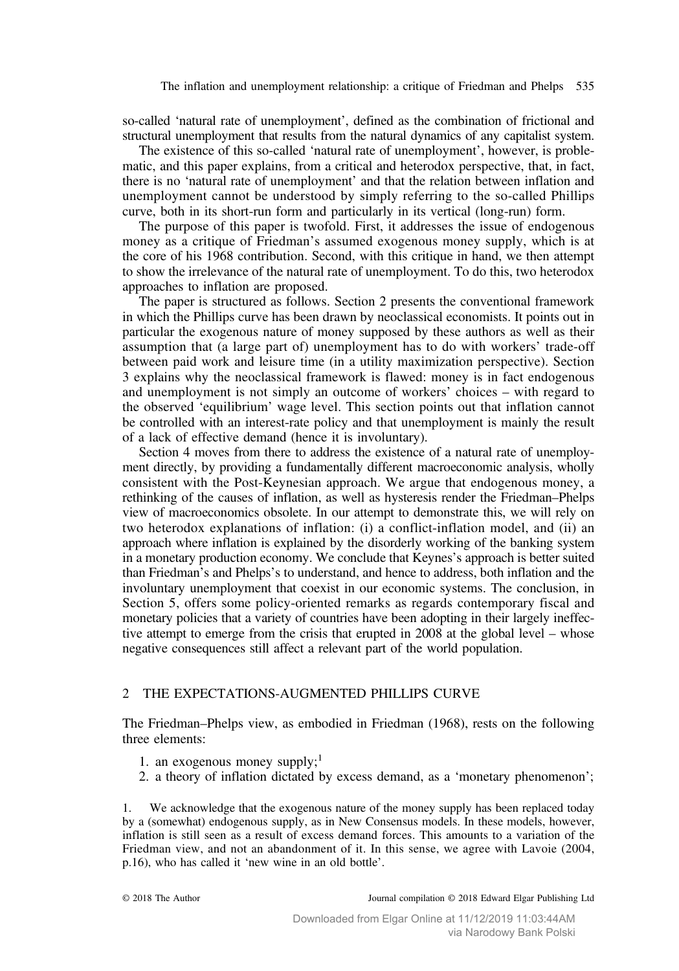<span id="page-2-0"></span>so-called 'natural rate of unemployment', defined as the combination of frictional and structural unemployment that results from the natural dynamics of any capitalist system.

The existence of this so-called 'natural rate of unemployment', however, is problematic, and this paper explains, from a critical and heterodox perspective, that, in fact, there is no 'natural rate of unemployment' and that the relation between inflation and unemployment cannot be understood by simply referring to the so-called Phillips curve, both in its short-run form and particularly in its vertical (long-run) form.

The purpose of this paper is twofold. First, it addresses the issue of endogenous money as a critique of Friedman's assumed exogenous money supply, which is at the core of his 1968 contribution. Second, with this critique in hand, we then attempt to show the irrelevance of the natural rate of unemployment. To do this, two heterodox approaches to inflation are proposed.

The paper is structured as follows. Section 2 presents the conventional framework in which the Phillips curve has been drawn by neoclassical economists. It points out in particular the exogenous nature of money supposed by these authors as well as their assumption that (a large part of) unemployment has to do with workers' trade-off between paid work and leisure time (in a utility maximization perspective). [Section](#page-4-0) [3](#page-4-0) explains why the neoclassical framework is flawed: money is in fact endogenous and unemployment is not simply an outcome of workers' choices – with regard to the observed 'equilibrium' wage level. This section points out that inflation cannot be controlled with an interest-rate policy and that unemployment is mainly the result of a lack of effective demand (hence it is involuntary).

[Section 4](#page-5-0) moves from there to address the existence of a natural rate of unemployment directly, by providing a fundamentally different macroeconomic analysis, wholly consistent with the Post-Keynesian approach. We argue that endogenous money, a rethinking of the causes of inflation, as well as hysteresis render the Friedman–Phelps view of macroeconomics obsolete. In our attempt to demonstrate this, we will rely on two heterodox explanations of inflation: (i) a conflict-inflation model, and (ii) an approach where inflation is explained by the disorderly working of the banking system in a monetary production economy. We conclude that Keynes's approach is better suited than Friedman's and Phelps's to understand, and hence to address, both inflation and the involuntary unemployment that coexist in our economic systems. The conclusion, in [Section 5,](#page-8-0) offers some policy-oriented remarks as regards contemporary fiscal and monetary policies that a variety of countries have been adopting in their largely ineffective attempt to emerge from the crisis that erupted in 2008 at the global level – whose negative consequences still affect a relevant part of the world population.

## 2 THE EXPECTATIONS-AUGMENTED PHILLIPS CURVE

The Friedman–Phelps view, as embodied in [Friedman \(1968\),](#page-10-0) rests on the following three elements:

- 1. an exogenous money supply; $<sup>1</sup>$ </sup>
- 2. a theory of inflation dictated by excess demand, as a 'monetary phenomenon';

We acknowledge that the exogenous nature of the money supply has been replaced today by a (somewhat) endogenous supply, as in New Consensus models. In these models, however, inflation is still seen as a result of excess demand forces. This amounts to a variation of the Friedman view, and not an abandonment of it. In this sense, we agree with [Lavoie \(2004,](#page-10-0) p.16), who has called it 'new wine in an old bottle'.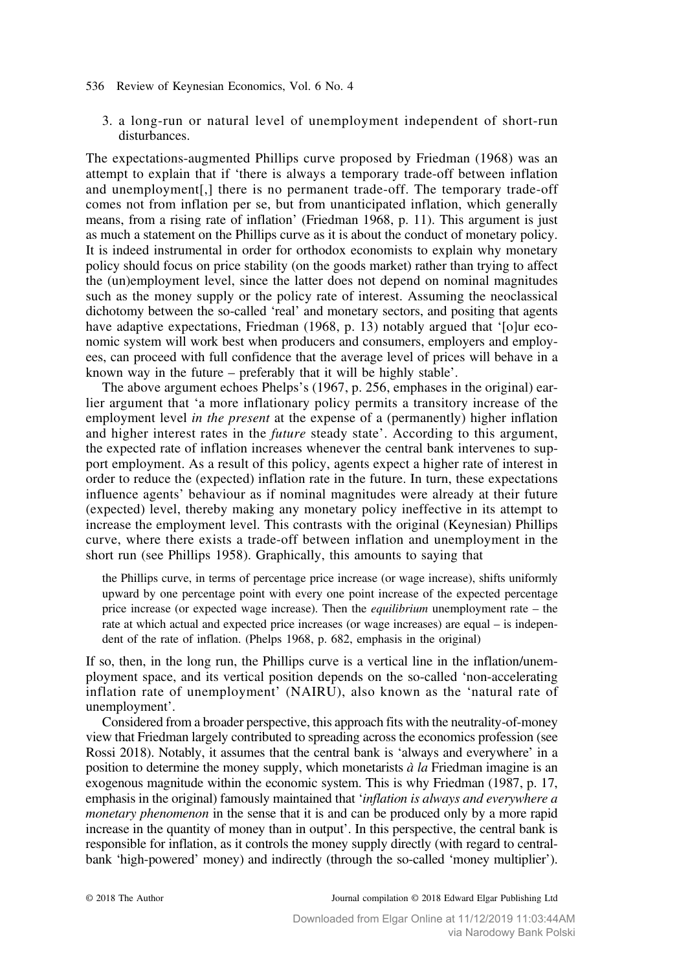3. a long-run or natural level of unemployment independent of short-run disturbances.

The expectations-augmented Phillips curve proposed by [Friedman \(1968\)](#page-10-0) was an attempt to explain that if 'there is always a temporary trade-off between inflation and unemployment[,] there is no permanent trade-off. The temporary trade-off comes not from inflation per se, but from unanticipated inflation, which generally means, from a rising rate of inflation' ([Friedman 1968,](#page-10-0) p. 11). This argument is just as much a statement on the Phillips curve as it is about the conduct of monetary policy. It is indeed instrumental in order for orthodox economists to explain why monetary policy should focus on price stability (on the goods market) rather than trying to affect the (un)employment level, since the latter does not depend on nominal magnitudes such as the money supply or the policy rate of interest. Assuming the neoclassical dichotomy between the so-called 'real' and monetary sectors, and positing that agents have adaptive expectations, [Friedman \(1968](#page-10-0), p. 13) notably argued that '[o]ur economic system will work best when producers and consumers, employers and employees, can proceed with full confidence that the average level of prices will behave in a known way in the future – preferably that it will be highly stable'.

The above argument echoes Phelps'[s \(1967,](#page-10-0) p. 256, emphases in the original) earlier argument that 'a more inflationary policy permits a transitory increase of the employment level *in the present* at the expense of a (permanently) higher inflation and higher interest rates in the future steady state'. According to this argument, the expected rate of inflation increases whenever the central bank intervenes to support employment. As a result of this policy, agents expect a higher rate of interest in order to reduce the (expected) inflation rate in the future. In turn, these expectations influence agents' behaviour as if nominal magnitudes were already at their future (expected) level, thereby making any monetary policy ineffective in its attempt to increase the employment level. This contrasts with the original (Keynesian) Phillips curve, where there exists a trade-off between inflation and unemployment in the short run (see [Phillips 1958\)](#page-10-0). Graphically, this amounts to saying that

the Phillips curve, in terms of percentage price increase (or wage increase), shifts uniformly upward by one percentage point with every one point increase of the expected percentage price increase (or expected wage increase). Then the *equilibrium* unemployment rate – the rate at which actual and expected price increases (or wage increases) are equal – is independent of the rate of inflation. [\(Phelps 1968,](#page-10-0) p. 682, emphasis in the original)

If so, then, in the long run, the Phillips curve is a vertical line in the inflation/unemployment space, and its vertical position depends on the so-called 'non-accelerating inflation rate of unemployment' (NAIRU), also known as the 'natural rate of unemployment'.

Considered from a broader perspective, this approach fits with the neutrality-of-money view that Friedman largely contributed to spreading across the economics profession (see [Rossi 2018\)](#page-11-0). Notably, it assumes that the central bank is 'always and everywhere' in a position to determine the money supply, which monetarists  $\dot{a}$  la Friedman imagine is an exogenous magnitude within the economic system. This is why [Friedman \(1987,](#page-10-0) p. 17, emphasis in the original) famously maintained that 'inflation is always and everywhere a monetary phenomenon in the sense that it is and can be produced only by a more rapid increase in the quantity of money than in output'. In this perspective, the central bank is responsible for inflation, as it controls the money supply directly (with regard to centralbank 'high-powered' money) and indirectly (through the so-called 'money multiplier').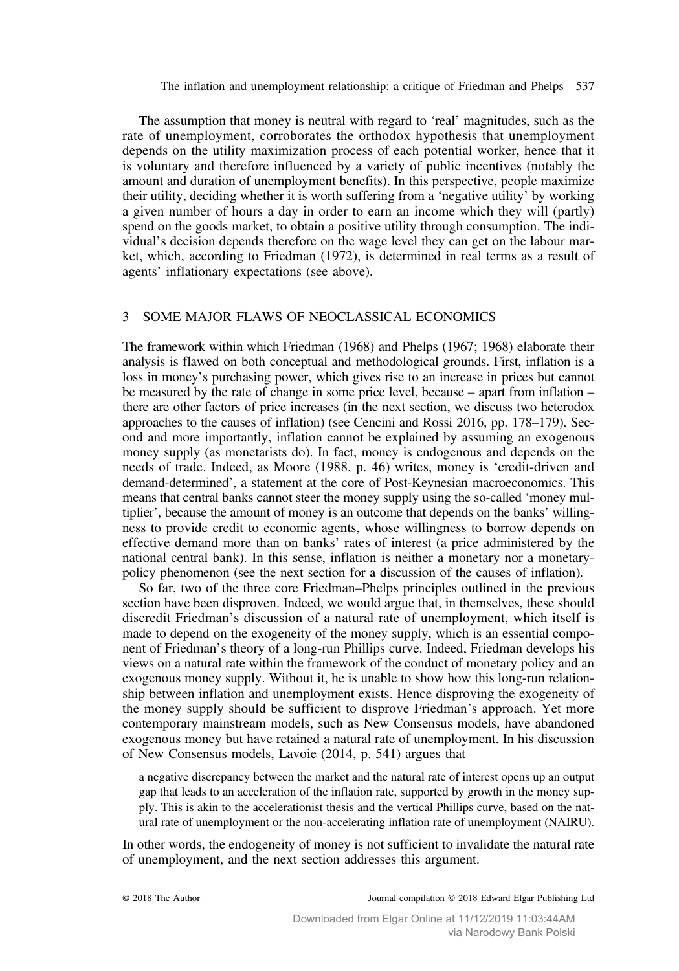<span id="page-4-0"></span>The assumption that money is neutral with regard to 'real' magnitudes, such as the rate of unemployment, corroborates the orthodox hypothesis that unemployment depends on the utility maximization process of each potential worker, hence that it is voluntary and therefore influenced by a variety of public incentives (notably the amount and duration of unemployment benefits). In this perspective, people maximize their utility, deciding whether it is worth suffering from a 'negative utility' by working a given number of hours a day in order to earn an income which they will (partly) spend on the goods market, to obtain a positive utility through consumption. The individual's decision depends therefore on the wage level they can get on the labour market, which, according to [Friedman \(1972\),](#page-10-0) is determined in real terms as a result of agents' inflationary expectations (see above).

## 3 SOME MAJOR FLAWS OF NEOCLASSICAL ECONOMICS

The framework within which [Friedman \(1968\)](#page-10-0) and [Phelps \(1967](#page-10-0); [1968\)](#page-10-0) elaborate their analysis is flawed on both conceptual and methodological grounds. First, inflation is a loss in money's purchasing power, which gives rise to an increase in prices but cannot be measured by the rate of change in some price level, because – apart from inflation – there are other factors of price increases (in the next section, we discuss two heterodox approaches to the causes of inflation) (see [Cencini and Rossi 2016,](#page-10-0) pp. 178–179). Second and more importantly, inflation cannot be explained by assuming an exogenous money supply (as monetarists do). In fact, money is endogenous and depends on the needs of trade. Indeed, as [Moore \(1988,](#page-10-0) p. 46) writes, money is 'credit-driven and demand-determined', a statement at the core of Post-Keynesian macroeconomics. This means that central banks cannot steer the money supply using the so-called 'money multiplier', because the amount of money is an outcome that depends on the banks' willingness to provide credit to economic agents, whose willingness to borrow depends on effective demand more than on banks' rates of interest (a price administered by the national central bank). In this sense, inflation is neither a monetary nor a monetarypolicy phenomenon (see the next section for a discussion of the causes of inflation).

So far, two of the three core Friedman–Phelps principles outlined in the previous section have been disproven. Indeed, we would argue that, in themselves, these should discredit Friedman's discussion of a natural rate of unemployment, which itself is made to depend on the exogeneity of the money supply, which is an essential component of Friedman's theory of a long-run Phillips curve. Indeed, Friedman develops his views on a natural rate within the framework of the conduct of monetary policy and an exogenous money supply. Without it, he is unable to show how this long-run relationship between inflation and unemployment exists. Hence disproving the exogeneity of the money supply should be sufficient to disprove Friedman's approach. Yet more contemporary mainstream models, such as New Consensus models, have abandoned exogenous money but have retained a natural rate of unemployment. In his discussion of New Consensus models, [Lavoie \(2014,](#page-10-0) p. 541) argues that

a negative discrepancy between the market and the natural rate of interest opens up an output gap that leads to an acceleration of the inflation rate, supported by growth in the money supply. This is akin to the accelerationist thesis and the vertical Phillips curve, based on the natural rate of unemployment or the non-accelerating inflation rate of unemployment (NAIRU).

In other words, the endogeneity of money is not sufficient to invalidate the natural rate of unemployment, and the next section addresses this argument.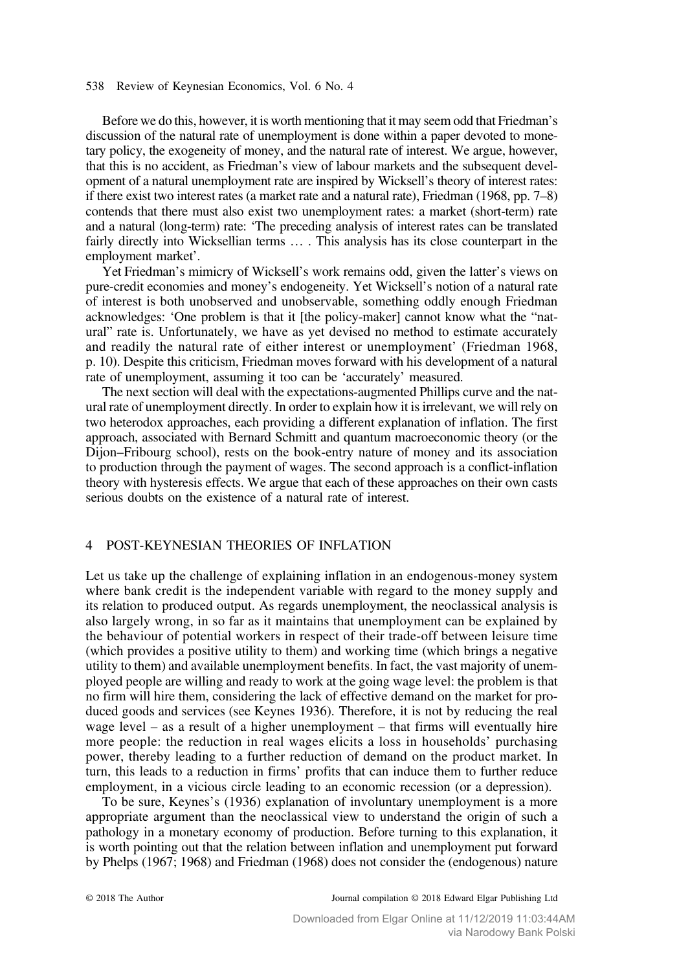<span id="page-5-0"></span>Before we do this, however, it is worth mentioning that it may seem odd that Friedman's discussion of the natural rate of unemployment is done within a paper devoted to monetary policy, the exogeneity of money, and the natural rate of interest. We argue, however, that this is no accident, as Friedman's view of labour markets and the subsequent development of a natural unemployment rate are inspired by Wicksell's theory of interest rates: if there exist two interest rates (a market rate and a natural rate), [Friedman \(1968,](#page-10-0) pp. 7–8) contends that there must also exist two unemployment rates: a market (short-term) rate and a natural (long-term) rate: 'The preceding analysis of interest rates can be translated fairly directly into Wicksellian terms … . This analysis has its close counterpart in the employment market'.

Yet Friedman's mimicry of Wicksell's work remains odd, given the latter's views on pure-credit economies and money's endogeneity. Yet Wicksell's notion of a natural rate of interest is both unobserved and unobservable, something oddly enough Friedman acknowledges: 'One problem is that it [the policy-maker] cannot know what the "natural" rate is. Unfortunately, we have as yet devised no method to estimate accurately and readily the natural rate of either interest or unemployment' ([Friedman 1968,](#page-10-0) p. 10). Despite this criticism, Friedman moves forward with his development of a natural rate of unemployment, assuming it too can be 'accurately' measured.

The next section will deal with the expectations-augmented Phillips curve and the natural rate of unemployment directly. In order to explain how it is irrelevant, we will rely on two heterodox approaches, each providing a different explanation of inflation. The first approach, associated with Bernard Schmitt and quantum macroeconomic theory (or the Dijon–Fribourg school), rests on the book-entry nature of money and its association to production through the payment of wages. The second approach is a conflict-inflation theory with hysteresis effects. We argue that each of these approaches on their own casts serious doubts on the existence of a natural rate of interest.

# 4 POST-KEYNESIAN THEORIES OF INFLATION

Let us take up the challenge of explaining inflation in an endogenous-money system where bank credit is the independent variable with regard to the money supply and its relation to produced output. As regards unemployment, the neoclassical analysis is also largely wrong, in so far as it maintains that unemployment can be explained by the behaviour of potential workers in respect of their trade-off between leisure time (which provides a positive utility to them) and working time (which brings a negative utility to them) and available unemployment benefits. In fact, the vast majority of unemployed people are willing and ready to work at the going wage level: the problem is that no firm will hire them, considering the lack of effective demand on the market for produced goods and services (see [Keynes 1936\)](#page-10-0). Therefore, it is not by reducing the real wage level – as a result of a higher unemployment – that firms will eventually hire more people: the reduction in real wages elicits a loss in households' purchasing power, thereby leading to a further reduction of demand on the product market. In turn, this leads to a reduction in firms' profits that can induce them to further reduce employment, in a vicious circle leading to an economic recession (or a depression).

To be sure, Keynes'[s \(1936\)](#page-10-0) explanation of involuntary unemployment is a more appropriate argument than the neoclassical view to understand the origin of such a pathology in a monetary economy of production. Before turning to this explanation, it is worth pointing out that the relation between inflation and unemployment put forward by [Phelps \(1967; 1968\)](#page-10-0) and [Friedman \(1968\)](#page-10-0) does not consider the (endogenous) nature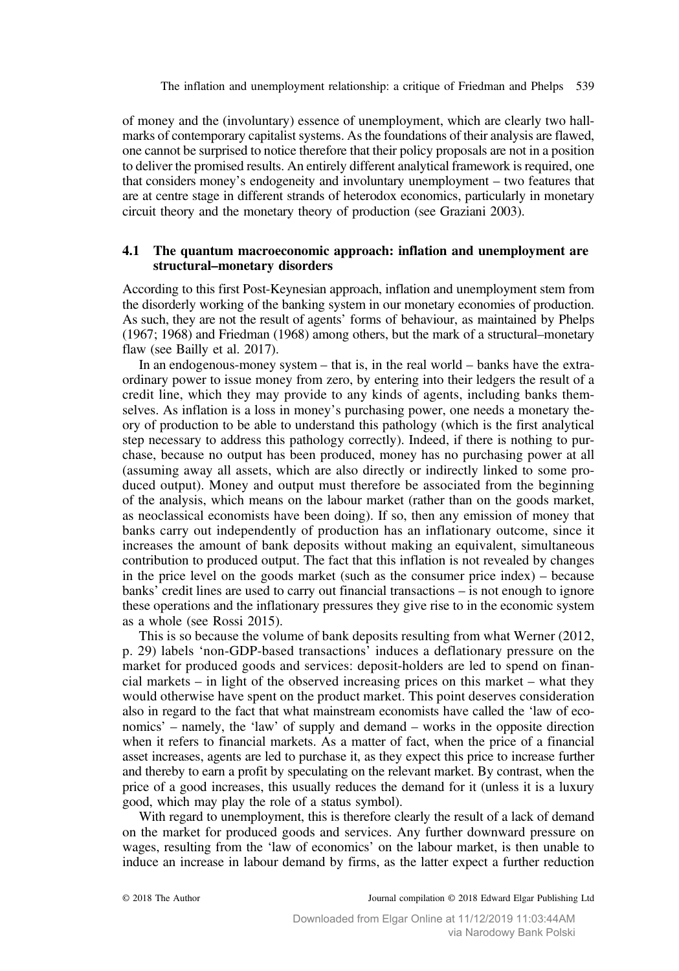The inflation and unemployment relationship: a critique of Friedman and Phelps 539

of money and the (involuntary) essence of unemployment, which are clearly two hallmarks of contemporary capitalist systems. As the foundations of their analysis are flawed, one cannot be surprised to notice therefore that their policy proposals are not in a position to deliver the promised results. An entirely different analytical framework is required, one that considers money's endogeneity and involuntary unemployment – two features that are at centre stage in different strands of heterodox economics, particularly in monetary circuit theory and the monetary theory of production (see [Graziani 2003\)](#page-10-0).

## 4.1 The quantum macroeconomic approach: inflation and unemployment are structural–monetary disorders

According to this first Post-Keynesian approach, inflation and unemployment stem from the disorderly working of the banking system in our monetary economies of production. As such, they are not the result of agents' forms of behaviour, as maintained by [Phelps](#page-10-0) [\(1967; 1968\)](#page-10-0) and [Friedman \(1968\)](#page-10-0) among others, but the mark of a structural–monetary flaw (see [Bailly et al. 2017](#page-10-0)).

In an endogenous-money system – that is, in the real world – banks have the extraordinary power to issue money from zero, by entering into their ledgers the result of a credit line, which they may provide to any kinds of agents, including banks themselves. As inflation is a loss in money's purchasing power, one needs a monetary theory of production to be able to understand this pathology (which is the first analytical step necessary to address this pathology correctly). Indeed, if there is nothing to purchase, because no output has been produced, money has no purchasing power at all (assuming away all assets, which are also directly or indirectly linked to some produced output). Money and output must therefore be associated from the beginning of the analysis, which means on the labour market (rather than on the goods market, as neoclassical economists have been doing). If so, then any emission of money that banks carry out independently of production has an inflationary outcome, since it increases the amount of bank deposits without making an equivalent, simultaneous contribution to produced output. The fact that this inflation is not revealed by changes in the price level on the goods market (such as the consumer price index) – because banks' credit lines are used to carry out financial transactions – is not enough to ignore these operations and the inflationary pressures they give rise to in the economic system as a whole (see [Rossi 2015](#page-11-0)).

This is so because the volume of bank deposits resulting from what [Werner \(2012,](#page-11-0) p. 29) labels 'non-GDP-based transactions' induces a deflationary pressure on the market for produced goods and services: deposit-holders are led to spend on financial markets – in light of the observed increasing prices on this market – what they would otherwise have spent on the product market. This point deserves consideration also in regard to the fact that what mainstream economists have called the 'law of economics' – namely, the 'law' of supply and demand – works in the opposite direction when it refers to financial markets. As a matter of fact, when the price of a financial asset increases, agents are led to purchase it, as they expect this price to increase further and thereby to earn a profit by speculating on the relevant market. By contrast, when the price of a good increases, this usually reduces the demand for it (unless it is a luxury good, which may play the role of a status symbol).

With regard to unemployment, this is therefore clearly the result of a lack of demand on the market for produced goods and services. Any further downward pressure on wages, resulting from the 'law of economics' on the labour market, is then unable to induce an increase in labour demand by firms, as the latter expect a further reduction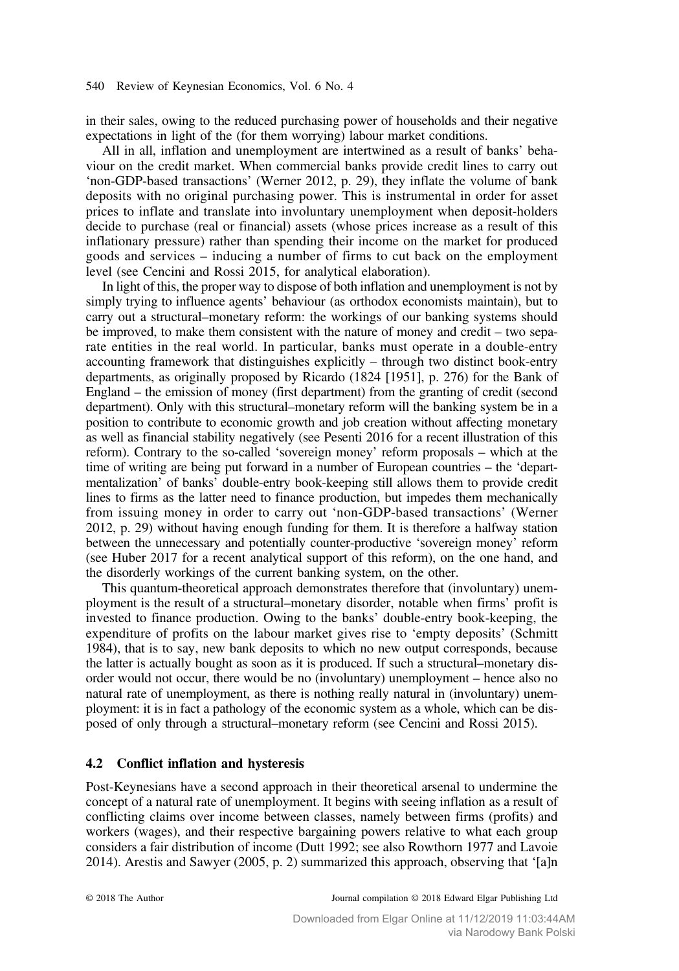in their sales, owing to the reduced purchasing power of households and their negative expectations in light of the (for them worrying) labour market conditions.

All in all, inflation and unemployment are intertwined as a result of banks' behaviour on the credit market. When commercial banks provide credit lines to carry out 'non-GDP-based transactions' ([Werner 2012](#page-11-0), p. 29), they inflate the volume of bank deposits with no original purchasing power. This is instrumental in order for asset prices to inflate and translate into involuntary unemployment when deposit-holders decide to purchase (real or financial) assets (whose prices increase as a result of this inflationary pressure) rather than spending their income on the market for produced goods and services – inducing a number of firms to cut back on the employment level (see [Cencini and Rossi 2015,](#page-10-0) for analytical elaboration).

In light of this, the proper way to dispose of both inflation and unemployment is not by simply trying to influence agents' behaviour (as orthodox economists maintain), but to carry out a structural–monetary reform: the workings of our banking systems should be improved, to make them consistent with the nature of money and credit – two separate entities in the real world. In particular, banks must operate in a double-entry accounting framework that distinguishes explicitly – through two distinct book-entry departments, as originally proposed by [Ricardo \(1824 \[1951\]](#page-10-0), p. 276) for the Bank of England – the emission of money (first department) from the granting of credit (second department). Only with this structural–monetary reform will the banking system be in a position to contribute to economic growth and job creation without affecting monetary as well as financial stability negatively (see [Pesenti 2016](#page-10-0) for a recent illustration of this reform). Contrary to the so-called 'sovereign money' reform proposals – which at the time of writing are being put forward in a number of European countries – the 'departmentalization' of banks' double-entry book-keeping still allows them to provide credit lines to firms as the latter need to finance production, but impedes them mechanically from issuing money in order to carry out 'non-GDP-based transactions' ([Werner](#page-11-0) [2012,](#page-11-0) p. 29) without having enough funding for them. It is therefore a halfway station between the unnecessary and potentially counter-productive 'sovereign money' reform (see [Huber 2017](#page-10-0) for a recent analytical support of this reform), on the one hand, and the disorderly workings of the current banking system, on the other.

This quantum-theoretical approach demonstrates therefore that (involuntary) unemployment is the result of a structural–monetary disorder, notable when firms' profit is invested to finance production. Owing to the banks' double-entry book-keeping, the expenditure of profits on the labour market gives rise to 'empty deposits' [\(Schmitt](#page-11-0) [1984\)](#page-11-0), that is to say, new bank deposits to which no new output corresponds, because the latter is actually bought as soon as it is produced. If such a structural–monetary disorder would not occur, there would be no (involuntary) unemployment – hence also no natural rate of unemployment, as there is nothing really natural in (involuntary) unemployment: it is in fact a pathology of the economic system as a whole, which can be disposed of only through a structural–monetary reform (see [Cencini and Rossi 2015](#page-10-0)).

## 4.2 Conflict inflation and hysteresis

Post-Keynesians have a second approach in their theoretical arsenal to undermine the concept of a natural rate of unemployment. It begins with seeing inflation as a result of conflicting claims over income between classes, namely between firms (profits) and workers (wages), and their respective bargaining powers relative to what each group considers a fair distribution of income [\(Dutt 1992](#page-10-0); see also [Rowthorn 1977](#page-11-0) and [Lavoie](#page-10-0) [2014](#page-10-0)). [Arestis and Sawyer \(2005](#page-9-0), p. 2) summarized this approach, observing that '[a]n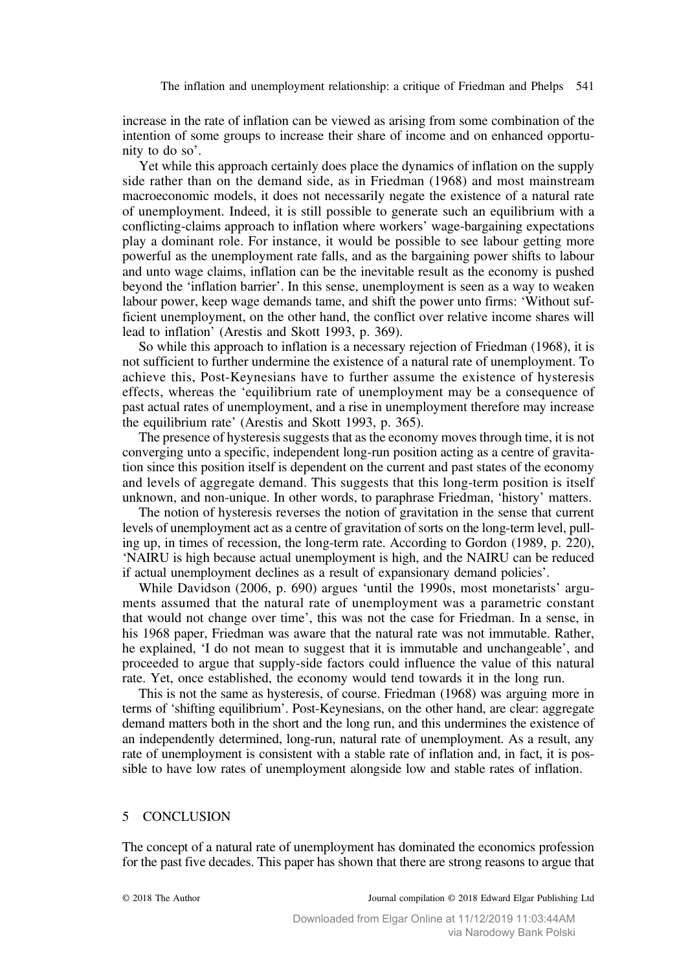The inflation and unemployment relationship: a critique of Friedman and Phelps 541

<span id="page-8-0"></span>increase in the rate of inflation can be viewed as arising from some combination of the intention of some groups to increase their share of income and on enhanced opportunity to do so'.

Yet while this approach certainly does place the dynamics of inflation on the supply side rather than on the demand side, as in [Friedman \(1968\)](#page-10-0) and most mainstream macroeconomic models, it does not necessarily negate the existence of a natural rate of unemployment. Indeed, it is still possible to generate such an equilibrium with a conflicting-claims approach to inflation where workers' wage-bargaining expectations play a dominant role. For instance, it would be possible to see labour getting more powerful as the unemployment rate falls, and as the bargaining power shifts to labour and unto wage claims, inflation can be the inevitable result as the economy is pushed beyond the 'inflation barrier'. In this sense, unemployment is seen as a way to weaken labour power, keep wage demands tame, and shift the power unto firms: 'Without sufficient unemployment, on the other hand, the conflict over relative income shares will lead to inflation' ([Arestis and Skott 1993,](#page-10-0) p. 369).

So while this approach to inflation is a necessary rejection of [Friedman \(1968\)](#page-10-0), it is not sufficient to further undermine the existence of a natural rate of unemployment. To achieve this, Post-Keynesians have to further assume the existence of hysteresis effects, whereas the 'equilibrium rate of unemployment may be a consequence of past actual rates of unemployment, and a rise in unemployment therefore may increase the equilibrium rate' [\(Arestis and Skott 1993,](#page-10-0) p. 365).

The presence of hysteresis suggests that as the economy moves through time, it is not converging unto a specific, independent long-run position acting as a centre of gravitation since this position itself is dependent on the current and past states of the economy and levels of aggregate demand. This suggests that this long-term position is itself unknown, and non-unique. In other words, to paraphrase Friedman, 'history' matters.

The notion of hysteresis reverses the notion of gravitation in the sense that current levels of unemployment act as a centre of gravitation of sorts on the long-term level, pulling up, in times of recession, the long-term rate. According to [Gordon \(1989,](#page-10-0) p. 220), 'NAIRU is high because actual unemployment is high, and the NAIRU can be reduced if actual unemployment declines as a result of expansionary demand policies'.

While [Davidson \(2006,](#page-10-0) p. 690) argues 'until the 1990s, most monetarists' arguments assumed that the natural rate of unemployment was a parametric constant that would not change over time', this was not the case for Friedman. In a sense, in his 1968 paper, Friedman was aware that the natural rate was not immutable. Rather, he explained, 'I do not mean to suggest that it is immutable and unchangeable', and proceeded to argue that supply-side factors could influence the value of this natural rate. Yet, once established, the economy would tend towards it in the long run.

This is not the same as hysteresis, of course. [Friedman \(1968\)](#page-10-0) was arguing more in terms of 'shifting equilibrium'. Post-Keynesians, on the other hand, are clear: aggregate demand matters both in the short and the long run, and this undermines the existence of an independently determined, long-run, natural rate of unemployment. As a result, any rate of unemployment is consistent with a stable rate of inflation and, in fact, it is possible to have low rates of unemployment alongside low and stable rates of inflation.

# 5 CONCLUSION

The concept of a natural rate of unemployment has dominated the economics profession for the past five decades. This paper has shown that there are strong reasons to argue that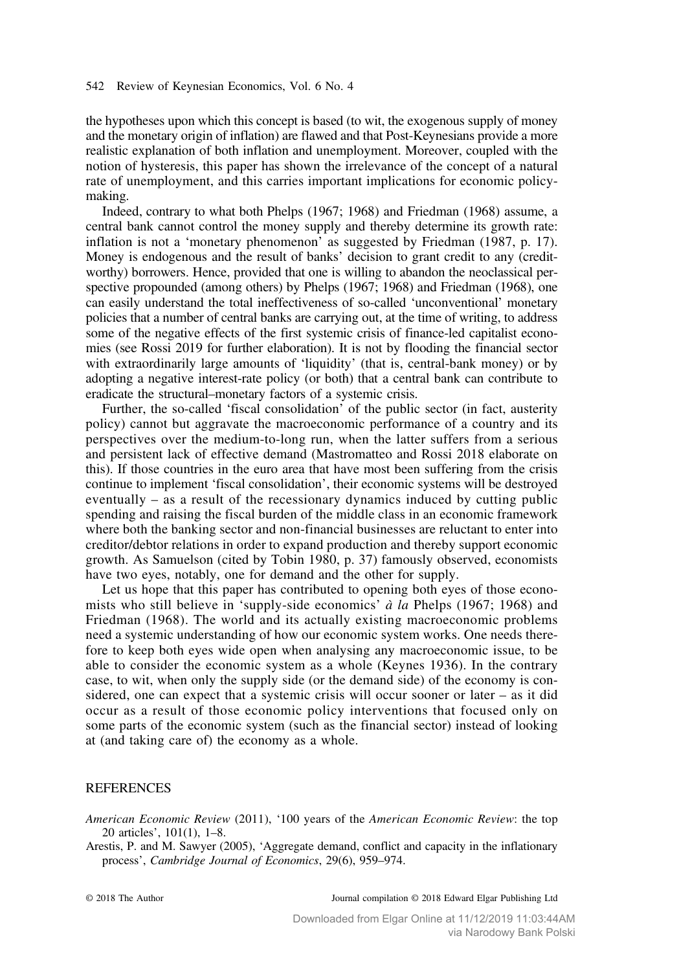<span id="page-9-0"></span>the hypotheses upon which this concept is based (to wit, the exogenous supply of money and the monetary origin of inflation) are flawed and that Post-Keynesians provide a more realistic explanation of both inflation and unemployment. Moreover, coupled with the notion of hysteresis, this paper has shown the irrelevance of the concept of a natural rate of unemployment, and this carries important implications for economic policymaking.

Indeed, contrary to what both [Phelps \(1967; 1968](#page-10-0)) and [Friedman \(1968\)](#page-10-0) assume, a central bank cannot control the money supply and thereby determine its growth rate: inflation is not a 'monetary phenomenon' as suggested by [Friedman \(1987](#page-10-0), p. 17). Money is endogenous and the result of banks' decision to grant credit to any (creditworthy) borrowers. Hence, provided that one is willing to abandon the neoclassical perspective propounded (among others) by [Phelps \(1967](#page-10-0); [1968](#page-10-0)) and [Friedman \(1968\)](#page-10-0), one can easily understand the total ineffectiveness of so-called 'unconventional' monetary policies that a number of central banks are carrying out, at the time of writing, to address some of the negative effects of the first systemic crisis of finance-led capitalist economies (see [Rossi 2019](#page-11-0) for further elaboration). It is not by flooding the financial sector with extraordinarily large amounts of 'liquidity' (that is, central-bank money) or by adopting a negative interest-rate policy (or both) that a central bank can contribute to eradicate the structural–monetary factors of a systemic crisis.

Further, the so-called 'fiscal consolidation' of the public sector (in fact, austerity policy) cannot but aggravate the macroeconomic performance of a country and its perspectives over the medium-to-long run, when the latter suffers from a serious and persistent lack of effective demand ([Mastromatteo and Rossi 2018](#page-10-0) elaborate on this). If those countries in the euro area that have most been suffering from the crisis continue to implement 'fiscal consolidation', their economic systems will be destroyed eventually – as a result of the recessionary dynamics induced by cutting public spending and raising the fiscal burden of the middle class in an economic framework where both the banking sector and non-financial businesses are reluctant to enter into creditor/debtor relations in order to expand production and thereby support economic growth. As Samuelson (cited by [Tobin 1980,](#page-11-0) p. 37) famously observed, economists have two eyes, notably, one for demand and the other for supply.

Let us hope that this paper has contributed to opening both eyes of those economists who still believe in 'supply-side economics'  $\dot{a}$  la [Phelps \(1967](#page-10-0); [1968\)](#page-10-0) and [Friedman \(1968\).](#page-10-0) The world and its actually existing macroeconomic problems need a systemic understanding of how our economic system works. One needs therefore to keep both eyes wide open when analysing any macroeconomic issue, to be able to consider the economic system as a whole ([Keynes 1936](#page-10-0)). In the contrary case, to wit, when only the supply side (or the demand side) of the economy is considered, one can expect that a systemic crisis will occur sooner or later – as it did occur as a result of those economic policy interventions that focused only on some parts of the economic system (such as the financial sector) instead of looking at (and taking care of) the economy as a whole.

### **REFERENCES**

American Economic Review (2011), '100 years of the American Economic Review: the top 20 articles', 101(1), 1–8.

Arestis, P. and M. Sawyer (2005), 'Aggregate demand, conflict and capacity in the inflationary process', Cambridge Journal of Economics, 29(6), 959–974.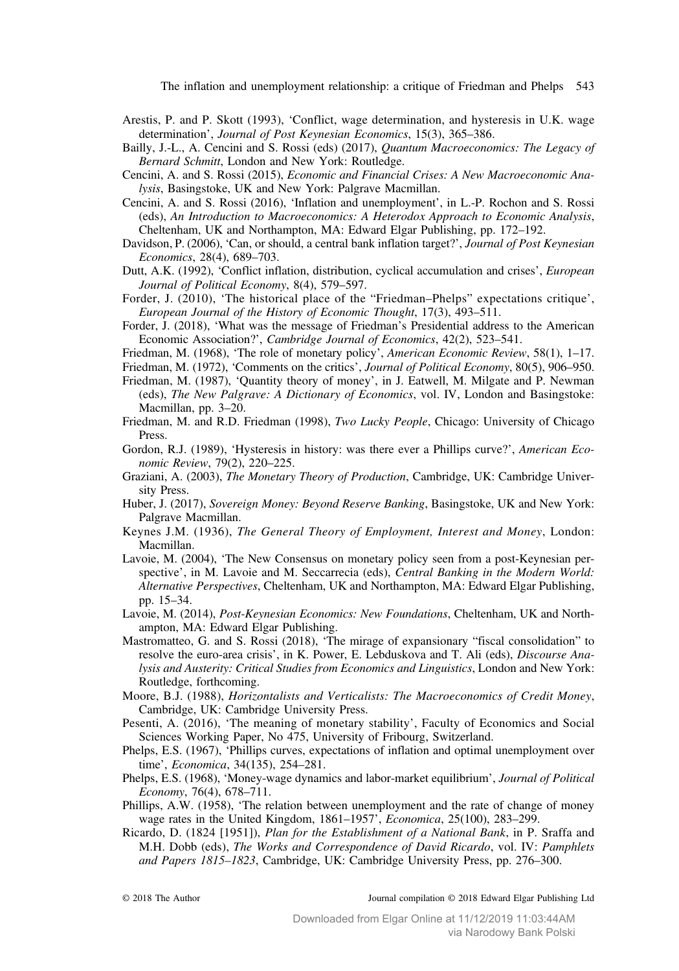The inflation and unemployment relationship: a critique of Friedman and Phelps 543

- <span id="page-10-0"></span>Arestis, P. and P. Skott (1993), 'Conflict, wage determination, and hysteresis in U.K. wage determination', Journal of Post Keynesian Economics, 15(3), 365–386.
- Bailly, J.-L., A. Cencini and S. Rossi (eds) (2017), Quantum Macroeconomics: The Legacy of Bernard Schmitt, London and New York: Routledge.
- Cencini, A. and S. Rossi (2015), Economic and Financial Crises: A New Macroeconomic Analysis, Basingstoke, UK and New York: Palgrave Macmillan.
- Cencini, A. and S. Rossi (2016), 'Inflation and unemployment', in L.-P. Rochon and S. Rossi (eds), An Introduction to Macroeconomics: A Heterodox Approach to Economic Analysis, Cheltenham, UK and Northampton, MA: Edward Elgar Publishing, pp. 172–192.
- Davidson, P. (2006), 'Can, or should, a central bank inflation target?', Journal of Post Keynesian Economics, 28(4), 689–703.
- Dutt, A.K. (1992), 'Conflict inflation, distribution, cyclical accumulation and crises', European Journal of Political Economy, 8(4), 579–597.
- Forder, J. (2010), 'The historical place of the "Friedman–Phelps" expectations critique', European Journal of the History of Economic Thought, 17(3), 493–511.
- Forder, J. (2018), 'What was the message of Friedman's Presidential address to the American Economic Association?', Cambridge Journal of Economics, 42(2), 523–541.
- Friedman, M. (1968), 'The role of monetary policy', American Economic Review, 58(1), 1–17.
- Friedman, M. (1972), 'Comments on the critics', *Journal of Political Economy*, 80(5), 906–950.
- Friedman, M. (1987), 'Quantity theory of money', in J. Eatwell, M. Milgate and P. Newman (eds), The New Palgrave: A Dictionary of Economics, vol. IV, London and Basingstoke: Macmillan, pp. 3–20.
- Friedman, M. and R.D. Friedman (1998), Two Lucky People, Chicago: University of Chicago Press.
- Gordon, R.J. (1989), 'Hysteresis in history: was there ever a Phillips curve?', American Economic Review, 79(2), 220–225.
- Graziani, A. (2003), The Monetary Theory of Production, Cambridge, UK: Cambridge University Press.
- Huber, J. (2017), Sovereign Money: Beyond Reserve Banking, Basingstoke, UK and New York: Palgrave Macmillan.
- Keynes J.M. (1936), The General Theory of Employment, Interest and Money, London: Macmillan.
- Lavoie, M. (2004), 'The New Consensus on monetary policy seen from a post-Keynesian perspective', in M. Lavoie and M. Seccarrecia (eds), *Central Banking in the Modern World*: Alternative Perspectives, Cheltenham, UK and Northampton, MA: Edward Elgar Publishing, pp. 15–34.
- Lavoie, M. (2014), Post-Keynesian Economics: New Foundations, Cheltenham, UK and Northampton, MA: Edward Elgar Publishing.
- Mastromatteo, G. and S. Rossi (2018), 'The mirage of expansionary "fiscal consolidation" to resolve the euro-area crisis', in K. Power, E. Lebduskova and T. Ali (eds), Discourse Analysis and Austerity: Critical Studies from Economics and Linguistics, London and New York: Routledge, forthcoming.
- Moore, B.J. (1988), Horizontalists and Verticalists: The Macroeconomics of Credit Money, Cambridge, UK: Cambridge University Press.
- Pesenti, A. (2016), 'The meaning of monetary stability', Faculty of Economics and Social Sciences Working Paper, No 475, University of Fribourg, Switzerland.
- Phelps, E.S. (1967), 'Phillips curves, expectations of inflation and optimal unemployment over time', Economica, 34(135), 254–281.
- Phelps, E.S. (1968), 'Money-wage dynamics and labor-market equilibrium', Journal of Political Economy, 76(4), 678–711.
- Phillips, A.W. (1958), 'The relation between unemployment and the rate of change of money wage rates in the United Kingdom, 1861–1957', Economica, 25(100), 283–299.
- Ricardo, D. (1824 [1951]), Plan for the Establishment of a National Bank, in P. Sraffa and M.H. Dobb (eds), The Works and Correspondence of David Ricardo, vol. IV: Pamphlets and Papers 1815–1823, Cambridge, UK: Cambridge University Press, pp. 276–300.